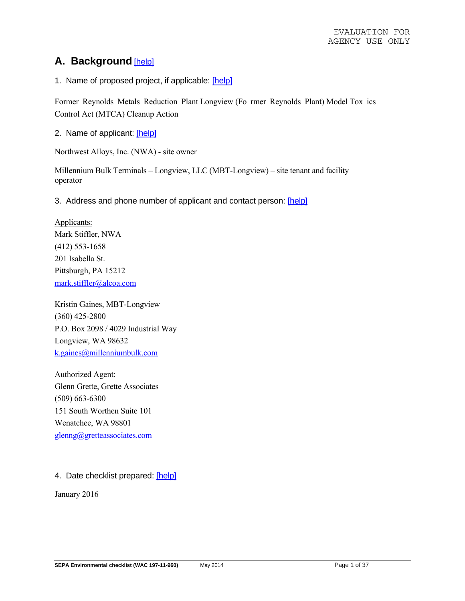# **A. Background** [help]

1. Name of proposed project, if applicable: [help]

Former Reynolds Metals Reduction Plant Longview (Fo rmer Reynolds Plant) Model Tox ics Control Act (MTCA) Cleanup Action

2. Name of applicant: [help]

Northwest Alloys, Inc. (NWA) - site owner

Millennium Bulk Terminals – Longview, LLC (MBT-Longview) – site tenant and facility operator

3. Address and phone number of applicant and contact person: [help]

Applicants: Mark Stiffler, NWA (412) 553-1658 201 Isabella St. Pittsburgh, PA 15212 mark.stiffler@alcoa.com

Kristin Gaines, MBT-Longview (360) 425-2800 P.O. Box 2098 / 4029 Industrial Way Longview, WA 98632 k.gaines@millenniumbulk.com

Authorized Agent: Glenn Grette, Grette Associates (509) 663-6300 151 South Worthen Suite 101 Wenatchee, WA 98801 glenng@gretteassociates.com

### 4. Date checklist prepared: [help]

January 2016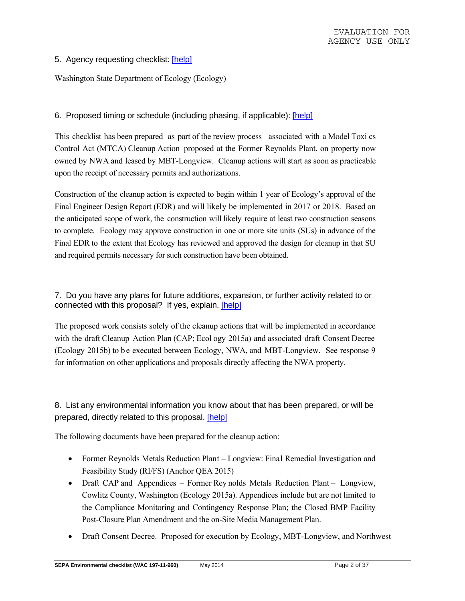### 5. Agency requesting checklist: [help]

Washington State Department of Ecology (Ecology)

### 6. Proposed timing or schedule (including phasing, if applicable): [help]

This checklist has been prepared as part of the review process associated with a Model Toxi cs Control Act (MTCA) Cleanup Action proposed at the Former Reynolds Plant, on property now owned by NWA and leased by MBT-Longview. Cleanup actions will start as soon as practicable upon the receipt of necessary permits and authorizations.

Construction of the cleanup action is expected to begin within 1 year of Ecology's approval of the Final Engineer Design Report (EDR) and will likely be implemented in 2017 or 2018. Based on the anticipated scope of work, the construction will likely require at least two construction seasons to complete. Ecology may approve construction in one or more site units (SUs) in advance of the Final EDR to the extent that Ecology has reviewed and approved the design for cleanup in that SU and required permits necessary for such construction have been obtained.

### 7. Do you have any plans for future additions, expansion, or further activity related to or connected with this proposal? If yes, explain. [help]

The proposed work consists solely of the cleanup actions that will be implemented in accordance with the draft Cleanup Action Plan (CAP; Ecol ogy 2015a) and associated draft Consent Decree (Ecology 2015b) to b e executed between Ecology, NWA, and MBT-Longview. See response 9 for information on other applications and proposals directly affecting the NWA property.

## 8. List any environmental information you know about that has been prepared, or will be prepared, directly related to this proposal. [help]

The following documents have been prepared for the cleanup action:

- Former Reynolds Metals Reduction Plant Longview: Final Remedial Investigation and Feasibility Study (RI/FS) (Anchor QEA 2015)
- Draft CAP and Appendices Former Rey nolds Metals Reduction Plant Longview, Cowlitz County, Washington (Ecology 2015a). Appendices include but are not limited to the Compliance Monitoring and Contingency Response Plan; the Closed BMP Facility Post-Closure Plan Amendment and the on-Site Media Management Plan.
- Draft Consent Decree. Proposed for execution by Ecology, MBT-Longview, and Northwest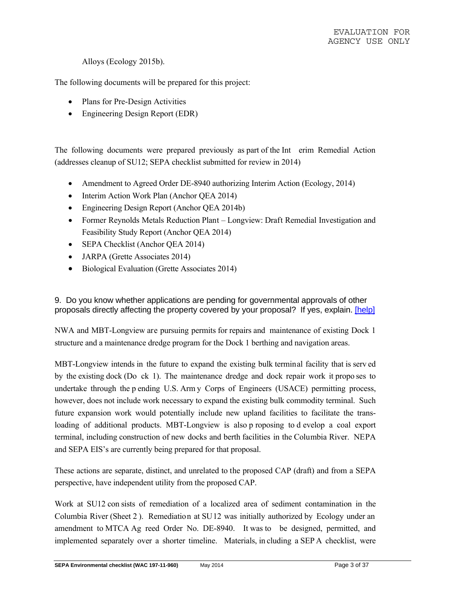Alloys (Ecology 2015b).

The following documents will be prepared for this project:

- Plans for Pre-Design Activities
- Engineering Design Report (EDR)

The following documents were prepared previously as part of the Int erim Remedial Action (addresses cleanup of SU12; SEPA checklist submitted for review in 2014)

- Amendment to Agreed Order DE-8940 authorizing Interim Action (Ecology, 2014)
- Interim Action Work Plan (Anchor QEA 2014)
- Engineering Design Report (Anchor QEA 2014b)
- Former Reynolds Metals Reduction Plant Longview: Draft Remedial Investigation and Feasibility Study Report (Anchor QEA 2014)
- SEPA Checklist (Anchor OEA 2014)
- JARPA (Grette Associates 2014)
- Biological Evaluation (Grette Associates 2014)

9. Do you know whether applications are pending for governmental approvals of other proposals directly affecting the property covered by your proposal? If yes, explain. [help]

NWA and MBT-Longview are pursuing permits for repairs and maintenance of existing Dock 1 structure and a maintenance dredge program for the Dock 1 berthing and navigation areas.

MBT-Longview intends in the future to expand the existing bulk terminal facility that is serv ed by the existing dock (Do ck 1). The maintenance dredge and dock repair work it propo ses to undertake through the p ending U.S. Arm y Corps of Engineers (USACE) permitting process, however, does not include work necessary to expand the existing bulk commodity terminal. Such future expansion work would potentially include new upland facilities to facilitate the transloading of additional products. MBT-Longview is also p roposing to d evelop a coal export terminal, including construction of new docks and berth facilities in the Columbia River. NEPA and SEPA EIS's are currently being prepared for that proposal.

These actions are separate, distinct, and unrelated to the proposed CAP (draft) and from a SEPA perspective, have independent utility from the proposed CAP.

Work at SU12 con sists of remediation of a localized area of sediment contamination in the Columbia River (Sheet 2 ). Remediation at SU12 was initially authorized by Ecology under an amendment to MTCA Ag reed Order No. DE-8940. It was to be designed, permitted, and implemented separately over a shorter timeline. Materials, in cluding a SEP A checklist, were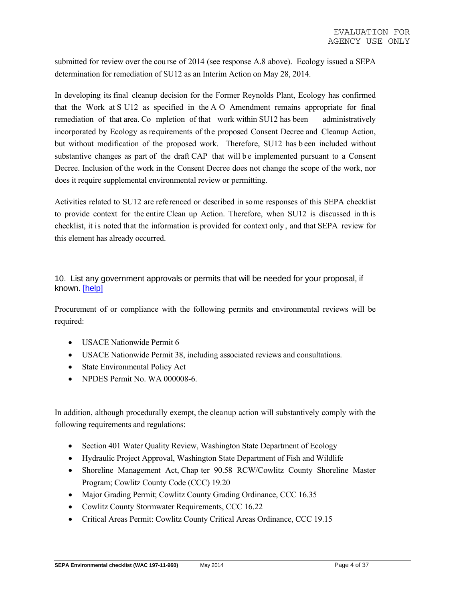submitted for review over the cou rse of 2014 (see response A.8 above). Ecology issued a SEPA determination for remediation of SU12 as an Interim Action on May 28, 2014.

In developing its final cleanup decision for the Former Reynolds Plant, Ecology has confirmed that the Work at S U12 as specified in the A O Amendment remains appropriate for final remediation of that area. Co mpletion of that work within SU12 has been administratively incorporated by Ecology as requirements of the proposed Consent Decree and Cleanup Action, but without modification of the proposed work. Therefore, SU12 has b een included without substantive changes as part of the draft CAP that will be implemented pursuant to a Consent Decree. Inclusion of the work in the Consent Decree does not change the scope of the work, nor does it require supplemental environmental review or permitting.

Activities related to SU12 are referenced or described in some responses of this SEPA checklist to provide context for the entire Clean up Action. Therefore, when SU12 is discussed in th is checklist, it is noted that the information is provided for context only , and that SEPA review for this element has already occurred.

### 10. List any government approvals or permits that will be needed for your proposal, if known. [help]

Procurement of or compliance with the following permits and environmental reviews will be required:

- USACE Nationwide Permit 6
- USACE Nationwide Permit 38, including associated reviews and consultations.
- State Environmental Policy Act
- NPDES Permit No. WA 000008-6

In addition, although procedurally exempt, the cleanup action will substantively comply with the following requirements and regulations:

- Section 401 Water Quality Review, Washington State Department of Ecology
- Hydraulic Project Approval, Washington State Department of Fish and Wildlife
- Shoreline Management Act, Chap ter 90.58 RCW/Cowlitz County Shoreline Master Program; Cowlitz County Code (CCC) 19.20
- Major Grading Permit; Cowlitz County Grading Ordinance, CCC 16.35
- Cowlitz County Stormwater Requirements, CCC 16.22
- Critical Areas Permit: Cowlitz County Critical Areas Ordinance, CCC 19.15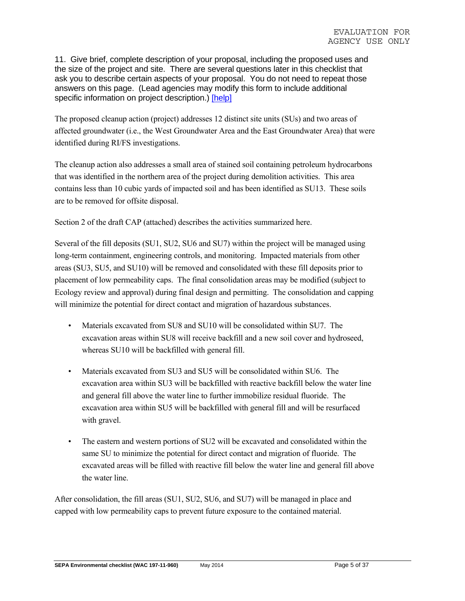11. Give brief, complete description of your proposal, including the proposed uses and the size of the project and site. There are several questions later in this checklist that ask you to describe certain aspects of your proposal. You do not need to repeat those answers on this page. (Lead agencies may modify this form to include additional specific information on project description.) [help]

The proposed cleanup action (project) addresses 12 distinct site units (SUs) and two areas of affected groundwater (i.e., the West Groundwater Area and the East Groundwater Area) that were identified during RI/FS investigations.

The cleanup action also addresses a small area of stained soil containing petroleum hydrocarbons that was identified in the northern area of the project during demolition activities. This area contains less than 10 cubic yards of impacted soil and has been identified as SU13. These soils are to be removed for offsite disposal.

Section 2 of the draft CAP (attached) describes the activities summarized here.

Several of the fill deposits (SU1, SU2, SU6 and SU7) within the project will be managed using long-term containment, engineering controls, and monitoring. Impacted materials from other areas (SU3, SU5, and SU10) will be removed and consolidated with these fill deposits prior to placement of low permeability caps. The final consolidation areas may be modified (subject to Ecology review and approval) during final design and permitting. The consolidation and capping will minimize the potential for direct contact and migration of hazardous substances.

- Materials excavated from SU8 and SU10 will be consolidated within SU7. The excavation areas within SU8 will receive backfill and a new soil cover and hydroseed, whereas SU10 will be backfilled with general fill.
- Materials excavated from SU3 and SU5 will be consolidated within SU6. The excavation area within SU3 will be backfilled with reactive backfill below the water line and general fill above the water line to further immobilize residual fluoride. The excavation area within SU5 will be backfilled with general fill and will be resurfaced with gravel.
- The eastern and western portions of SU2 will be excavated and consolidated within the same SU to minimize the potential for direct contact and migration of fluoride. The excavated areas will be filled with reactive fill below the water line and general fill above the water line.

After consolidation, the fill areas (SU1, SU2, SU6, and SU7) will be managed in place and capped with low permeability caps to prevent future exposure to the contained material.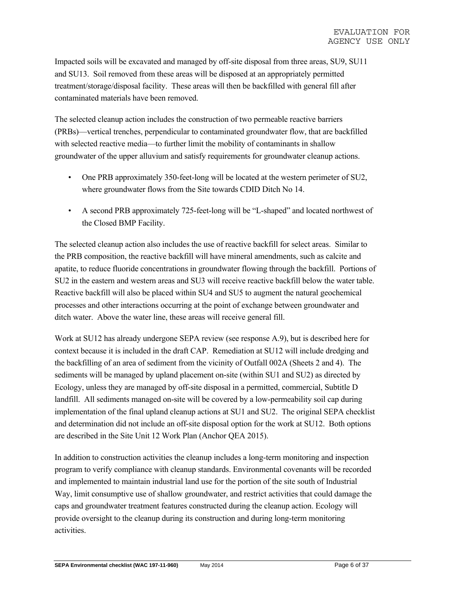Impacted soils will be excavated and managed by off-site disposal from three areas, SU9, SU11 and SU13. Soil removed from these areas will be disposed at an appropriately permitted treatment/storage/disposal facility. These areas will then be backfilled with general fill after contaminated materials have been removed.

The selected cleanup action includes the construction of two permeable reactive barriers (PRBs)—vertical trenches, perpendicular to contaminated groundwater flow, that are backfilled with selected reactive media—to further limit the mobility of contaminants in shallow groundwater of the upper alluvium and satisfy requirements for groundwater cleanup actions.

- One PRB approximately 350-feet-long will be located at the western perimeter of SU2, where groundwater flows from the Site towards CDID Ditch No 14.
- A second PRB approximately 725-feet-long will be "L-shaped" and located northwest of the Closed BMP Facility.

The selected cleanup action also includes the use of reactive backfill for select areas. Similar to the PRB composition, the reactive backfill will have mineral amendments, such as calcite and apatite, to reduce fluoride concentrations in groundwater flowing through the backfill. Portions of SU2 in the eastern and western areas and SU3 will receive reactive backfill below the water table. Reactive backfill will also be placed within SU4 and SU5 to augment the natural geochemical processes and other interactions occurring at the point of exchange between groundwater and ditch water. Above the water line, these areas will receive general fill.

Work at SU12 has already undergone SEPA review (see response A.9), but is described here for context because it is included in the draft CAP. Remediation at SU12 will include dredging and the backfilling of an area of sediment from the vicinity of Outfall 002A (Sheets 2 and 4). The sediments will be managed by upland placement on-site (within SU1 and SU2) as directed by Ecology, unless they are managed by off-site disposal in a permitted, commercial, Subtitle D landfill. All sediments managed on-site will be covered by a low-permeability soil cap during implementation of the final upland cleanup actions at SU1 and SU2. The original SEPA checklist and determination did not include an off-site disposal option for the work at SU12. Both options are described in the Site Unit 12 Work Plan (Anchor QEA 2015).

In addition to construction activities the cleanup includes a long-term monitoring and inspection program to verify compliance with cleanup standards. Environmental covenants will be recorded and implemented to maintain industrial land use for the portion of the site south of Industrial Way, limit consumptive use of shallow groundwater, and restrict activities that could damage the caps and groundwater treatment features constructed during the cleanup action. Ecology will provide oversight to the cleanup during its construction and during long-term monitoring activities.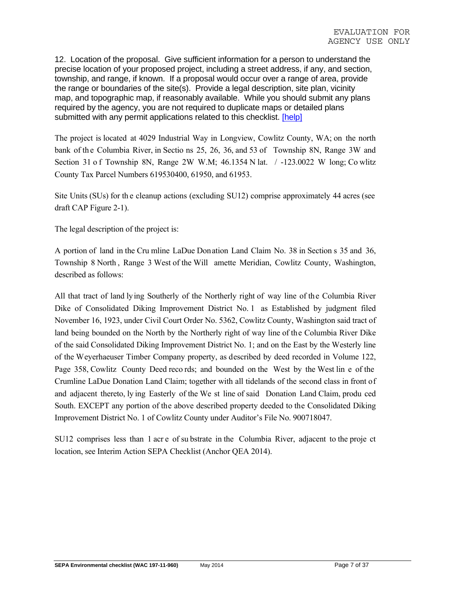12. Location of the proposal. Give sufficient information for a person to understand the precise location of your proposed project, including a street address, if any, and section, township, and range, if known. If a proposal would occur over a range of area, provide the range or boundaries of the site(s). Provide a legal description, site plan, vicinity map, and topographic map, if reasonably available. While you should submit any plans required by the agency, you are not required to duplicate maps or detailed plans submitted with any permit applications related to this checklist. [help]

The project is located at 4029 Industrial Way in Longview, Cowlitz County, WA; on the north bank of the Columbia River, in Sectio ns 25, 26, 36, and 53 of Township 8N, Range 3W and Section 31 o f Township 8N, Range 2W W.M; 46.1354 N lat. / -123.0022 W long; Co wlitz County Tax Parcel Numbers 619530400, 61950, and 61953.

Site Units (SUs) for th e cleanup actions (excluding SU12) comprise approximately 44 acres (see draft CAP Figure 2-1).

The legal description of the project is:

A portion of land in the Cru mline LaDue Donation Land Claim No. 38 in Section s 35 and 36, Township 8 North , Range 3 West of the Will amette Meridian, Cowlitz County, Washington, described as follows:

All that tract of land lying Southerly of the Northerly right of way line of the Columbia River Dike of Consolidated Diking Improvement District No. 1 as Established by judgment filed November 16, 1923, under Civil Court Order No. 5362, Cowlitz County, Washington said tract of land being bounded on the North by the Northerly right of way line of the Columbia River Dike of the said Consolidated Diking Improvement District No. 1; and on the East by the Westerly line of the Weyerhaeuser Timber Company property, as described by deed recorded in Volume 122, Page 358, Cowlitz County Deed reco rds; and bounded on the West by the West lin e of the Crumline LaDue Donation Land Claim; together with all tidelands of the second class in front of and adjacent thereto, ly ing Easterly of the We st line of said Donation Land Claim, produ ced South. EXCEPT any portion of the above described property deeded to the Consolidated Diking Improvement District No. 1 of Cowlitz County under Auditor's File No. 900718047.

SU12 comprises less than 1 acr e of su bstrate in the Columbia River, adjacent to the proje ct location, see Interim Action SEPA Checklist (Anchor QEA 2014).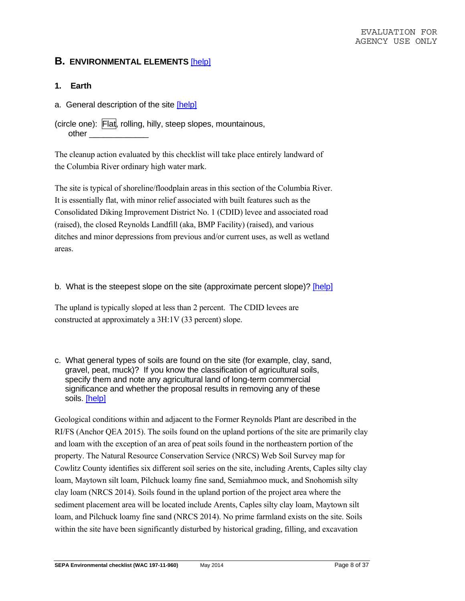## **B. ENVIRONMENTAL ELEMENTS** [help]

- **1. Earth**
- a. General description of the site [help]
- (circle one): Flat, rolling, hilly, steep slopes, mountainous, other

The cleanup action evaluated by this checklist will take place entirely landward of the Columbia River ordinary high water mark.

The site is typical of shoreline/floodplain areas in this section of the Columbia River. It is essentially flat, with minor relief associated with built features such as the Consolidated Diking Improvement District No. 1 (CDID) levee and associated road (raised), the closed Reynolds Landfill (aka, BMP Facility) (raised), and various ditches and minor depressions from previous and/or current uses, as well as wetland areas.

b. What is the steepest slope on the site (approximate percent slope)? [help]

The upland is typically sloped at less than 2 percent. The CDID levees are constructed at approximately a 3H:1V (33 percent) slope.

c. What general types of soils are found on the site (for example, clay, sand, gravel, peat, muck)? If you know the classification of agricultural soils, specify them and note any agricultural land of long-term commercial significance and whether the proposal results in removing any of these soils. [help]

Geological conditions within and adjacent to the Former Reynolds Plant are described in the RI/FS (Anchor QEA 2015). The soils found on the upland portions of the site are primarily clay and loam with the exception of an area of peat soils found in the northeastern portion of the property. The Natural Resource Conservation Service (NRCS) Web Soil Survey map for Cowlitz County identifies six different soil series on the site, including Arents, Caples silty clay loam, Maytown silt loam, Pilchuck loamy fine sand, Semiahmoo muck, and Snohomish silty clay loam (NRCS 2014). Soils found in the upland portion of the project area where the sediment placement area will be located include Arents, Caples silty clay loam, Maytown silt loam, and Pilchuck loamy fine sand (NRCS 2014). No prime farmland exists on the site. Soils within the site have been significantly disturbed by historical grading, filling, and excavation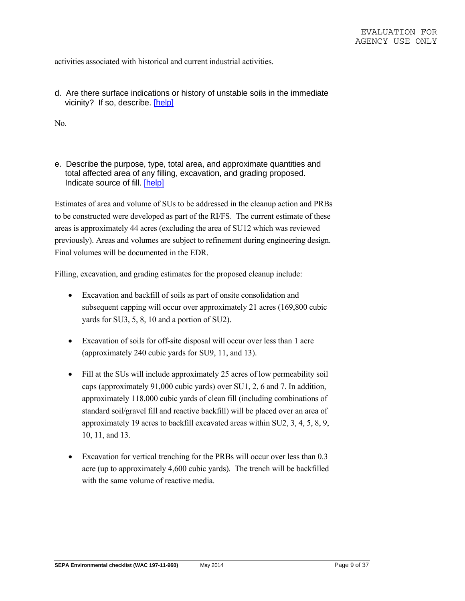activities associated with historical and current industrial activities.

d. Are there surface indications or history of unstable soils in the immediate vicinity? If so, describe. [help]

No.

e. Describe the purpose, type, total area, and approximate quantities and total affected area of any filling, excavation, and grading proposed. Indicate source of fill. [help]

Estimates of area and volume of SUs to be addressed in the cleanup action and PRBs to be constructed were developed as part of the RI/FS. The current estimate of these areas is approximately 44 acres (excluding the area of SU12 which was reviewed previously). Areas and volumes are subject to refinement during engineering design. Final volumes will be documented in the EDR.

Filling, excavation, and grading estimates for the proposed cleanup include:

- Excavation and backfill of soils as part of onsite consolidation and subsequent capping will occur over approximately 21 acres (169,800 cubic yards for SU3, 5, 8, 10 and a portion of SU2).
- Excavation of soils for off-site disposal will occur over less than 1 acre (approximately 240 cubic yards for SU9, 11, and 13).
- Fill at the SUs will include approximately 25 acres of low permeability soil caps (approximately 91,000 cubic yards) over SU1, 2, 6 and 7. In addition, approximately 118,000 cubic yards of clean fill (including combinations of standard soil/gravel fill and reactive backfill) will be placed over an area of approximately 19 acres to backfill excavated areas within SU2, 3, 4, 5, 8, 9, 10, 11, and 13.
- Excavation for vertical trenching for the PRBs will occur over less than 0.3 acre (up to approximately 4,600 cubic yards). The trench will be backfilled with the same volume of reactive media.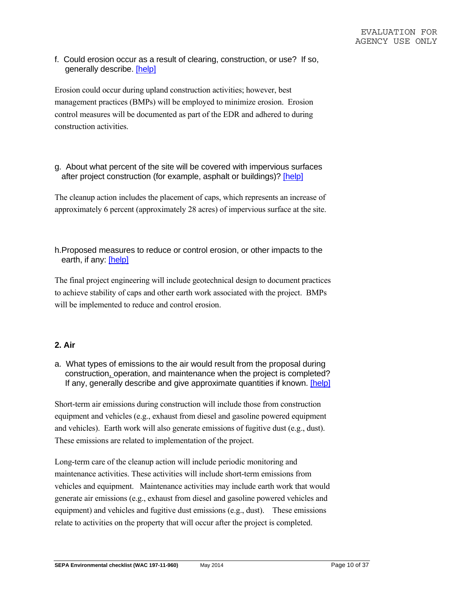f. Could erosion occur as a result of clearing, construction, or use? If so, generally describe. [help]

Erosion could occur during upland construction activities; however, best management practices (BMPs) will be employed to minimize erosion. Erosion control measures will be documented as part of the EDR and adhered to during construction activities.

g. About what percent of the site will be covered with impervious surfaces after project construction (for example, asphalt or buildings)? [help]

The cleanup action includes the placement of caps, which represents an increase of approximately 6 percent (approximately 28 acres) of impervious surface at the site.

h.Proposed measures to reduce or control erosion, or other impacts to the earth, if any: [help]

The final project engineering will include geotechnical design to document practices to achieve stability of caps and other earth work associated with the project. BMPs will be implemented to reduce and control erosion.

### **2. Air**

a. What types of emissions to the air would result from the proposal during construction, operation, and maintenance when the project is completed? If any, generally describe and give approximate quantities if known. [help]

Short-term air emissions during construction will include those from construction equipment and vehicles (e.g., exhaust from diesel and gasoline powered equipment and vehicles). Earth work will also generate emissions of fugitive dust (e.g., dust). These emissions are related to implementation of the project.

Long-term care of the cleanup action will include periodic monitoring and maintenance activities. These activities will include short-term emissions from vehicles and equipment. Maintenance activities may include earth work that would generate air emissions (e.g., exhaust from diesel and gasoline powered vehicles and equipment) and vehicles and fugitive dust emissions (e.g., dust). These emissions relate to activities on the property that will occur after the project is completed.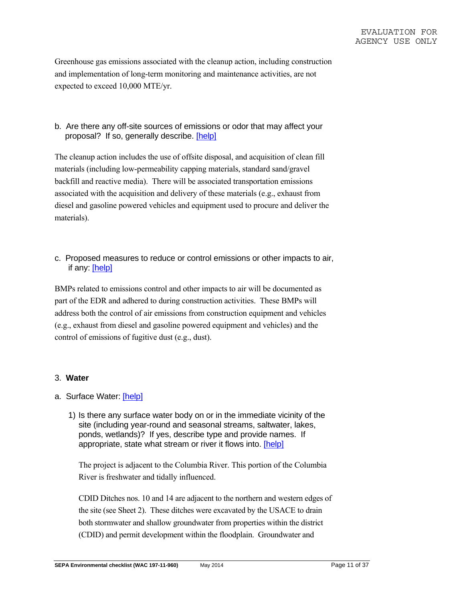Greenhouse gas emissions associated with the cleanup action, including construction and implementation of long-term monitoring and maintenance activities, are not expected to exceed 10,000 MTE/yr.

b. Are there any off-site sources of emissions or odor that may affect your proposal? If so, generally describe. [help]

The cleanup action includes the use of offsite disposal, and acquisition of clean fill materials (including low-permeability capping materials, standard sand/gravel backfill and reactive media). There will be associated transportation emissions associated with the acquisition and delivery of these materials (e.g., exhaust from diesel and gasoline powered vehicles and equipment used to procure and deliver the materials).

c. Proposed measures to reduce or control emissions or other impacts to air, if any: [help]

BMPs related to emissions control and other impacts to air will be documented as part of the EDR and adhered to during construction activities. These BMPs will address both the control of air emissions from construction equipment and vehicles (e.g., exhaust from diesel and gasoline powered equipment and vehicles) and the control of emissions of fugitive dust (e.g., dust).

#### 3. **Water**

- a. Surface Water: [help]
	- 1) Is there any surface water body on or in the immediate vicinity of the site (including year-round and seasonal streams, saltwater, lakes, ponds, wetlands)? If yes, describe type and provide names. If appropriate, state what stream or river it flows into. [help]

The project is adjacent to the Columbia River. This portion of the Columbia River is freshwater and tidally influenced.

CDID Ditches nos. 10 and 14 are adjacent to the northern and western edges of the site (see Sheet 2). These ditches were excavated by the USACE to drain both stormwater and shallow groundwater from properties within the district (CDID) and permit development within the floodplain. Groundwater and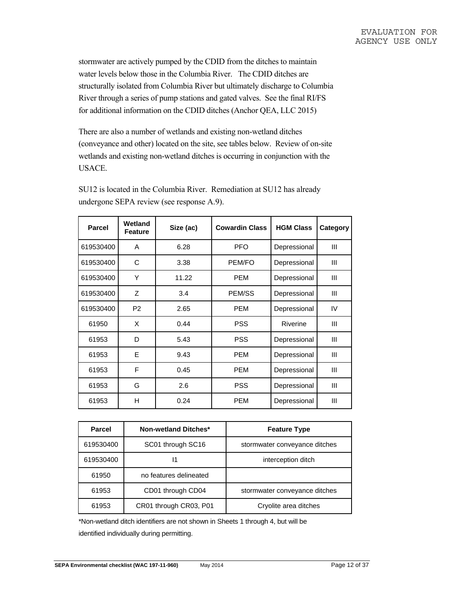stormwater are actively pumped by the CDID from the ditches to maintain water levels below those in the Columbia River. The CDID ditches are structurally isolated from Columbia River but ultimately discharge to Columbia River through a series of pump stations and gated valves. See the final RI/FS for additional information on the CDID ditches (Anchor QEA, LLC 2015)

There are also a number of wetlands and existing non-wetland ditches (conveyance and other) located on the site, see tables below. Review of on-site wetlands and existing non-wetland ditches is occurring in conjunction with the USACE.

| Parcel    | Wetland<br><b>Feature</b> | Size (ac) | <b>Cowardin Class</b> | <b>HGM Class</b> | <b>Category</b> |
|-----------|---------------------------|-----------|-----------------------|------------------|-----------------|
| 619530400 | A                         | 6.28      | <b>PFO</b>            | Depressional     | Ш               |
| 619530400 | C                         | 3.38      | PEM/FO                | Depressional     | Ш               |
| 619530400 | Υ                         | 11.22     | <b>PEM</b>            | Depressional     | Ш               |
| 619530400 | Z                         | 3.4       | PEM/SS                | Depressional     | Ш               |
| 619530400 | P <sub>2</sub>            | 2.65      | <b>PEM</b>            | Depressional     | IV              |
| 61950     | X                         | 0.44      | <b>PSS</b>            | Riverine         | Ш               |
| 61953     | D                         | 5.43      | <b>PSS</b>            | Depressional     | Ш               |
| 61953     | E                         | 9.43      | <b>PEM</b>            | Depressional     | Ш               |
| 61953     | F                         | 0.45      | <b>PEM</b>            | Depressional     | Ш               |
| 61953     | G                         | 2.6       | <b>PSS</b>            | Depressional     | Ш               |
| 61953     | н                         | 0.24      | <b>PEM</b>            | Depressional     | Ш               |

SU12 is located in the Columbia River. Remediation at SU12 has already undergone SEPA review (see response A.9).

| <b>Parcel</b> | Non-wetland Ditches*   | <b>Feature Type</b>           |  |  |
|---------------|------------------------|-------------------------------|--|--|
| 619530400     | SC01 through SC16      | stormwater conveyance ditches |  |  |
| 619530400     | 11                     | interception ditch            |  |  |
| 61950         | no features delineated |                               |  |  |
| 61953         | CD01 through CD04      | stormwater conveyance ditches |  |  |
| 61953         | CR01 through CR03, P01 | Cryolite area ditches         |  |  |

\*Non-wetland ditch identifiers are not shown in Sheets 1 through 4, but will be

identified individually during permitting.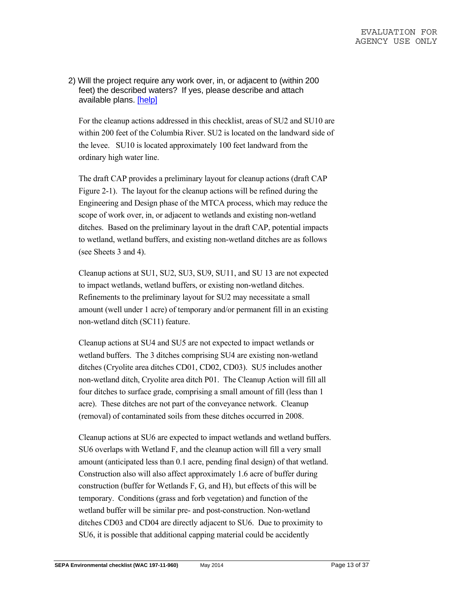2) Will the project require any work over, in, or adjacent to (within 200 feet) the described waters? If yes, please describe and attach available plans. [help]

For the cleanup actions addressed in this checklist, areas of SU2 and SU10 are within 200 feet of the Columbia River. SU2 is located on the landward side of the levee. SU10 is located approximately 100 feet landward from the ordinary high water line.

The draft CAP provides a preliminary layout for cleanup actions (draft CAP Figure 2-1). The layout for the cleanup actions will be refined during the Engineering and Design phase of the MTCA process, which may reduce the scope of work over, in, or adjacent to wetlands and existing non-wetland ditches. Based on the preliminary layout in the draft CAP, potential impacts to wetland, wetland buffers, and existing non-wetland ditches are as follows (see Sheets 3 and 4).

Cleanup actions at SU1, SU2, SU3, SU9, SU11, and SU 13 are not expected to impact wetlands, wetland buffers, or existing non-wetland ditches. Refinements to the preliminary layout for SU2 may necessitate a small amount (well under 1 acre) of temporary and/or permanent fill in an existing non-wetland ditch (SC11) feature.

Cleanup actions at SU4 and SU5 are not expected to impact wetlands or wetland buffers. The 3 ditches comprising SU4 are existing non-wetland ditches (Cryolite area ditches CD01, CD02, CD03). SU5 includes another non-wetland ditch, Cryolite area ditch P01. The Cleanup Action will fill all four ditches to surface grade, comprising a small amount of fill (less than 1 acre). These ditches are not part of the conveyance network. Cleanup (removal) of contaminated soils from these ditches occurred in 2008.

Cleanup actions at SU6 are expected to impact wetlands and wetland buffers. SU6 overlaps with Wetland F, and the cleanup action will fill a very small amount (anticipated less than 0.1 acre, pending final design) of that wetland. Construction also will also affect approximately 1.6 acre of buffer during construction (buffer for Wetlands F, G, and H), but effects of this will be temporary. Conditions (grass and forb vegetation) and function of the wetland buffer will be similar pre- and post-construction. Non-wetland ditches CD03 and CD04 are directly adjacent to SU6. Due to proximity to SU6, it is possible that additional capping material could be accidently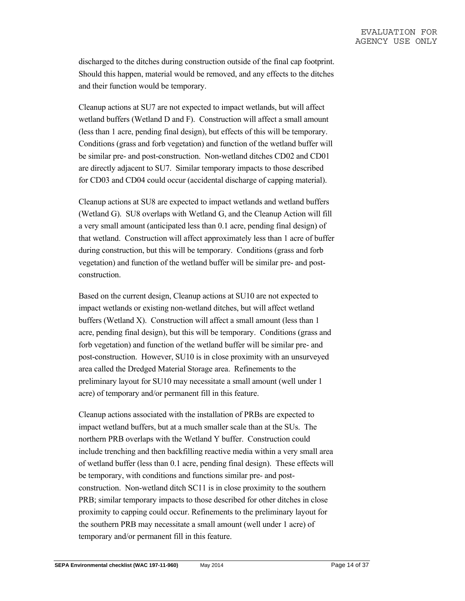discharged to the ditches during construction outside of the final cap footprint. Should this happen, material would be removed, and any effects to the ditches and their function would be temporary.

Cleanup actions at SU7 are not expected to impact wetlands, but will affect wetland buffers (Wetland D and F). Construction will affect a small amount (less than 1 acre, pending final design), but effects of this will be temporary. Conditions (grass and forb vegetation) and function of the wetland buffer will be similar pre- and post-construction. Non-wetland ditches CD02 and CD01 are directly adjacent to SU7. Similar temporary impacts to those described for CD03 and CD04 could occur (accidental discharge of capping material).

Cleanup actions at SU8 are expected to impact wetlands and wetland buffers (Wetland G). SU8 overlaps with Wetland G, and the Cleanup Action will fill a very small amount (anticipated less than 0.1 acre, pending final design) of that wetland. Construction will affect approximately less than 1 acre of buffer during construction, but this will be temporary. Conditions (grass and forb vegetation) and function of the wetland buffer will be similar pre- and postconstruction.

Based on the current design, Cleanup actions at SU10 are not expected to impact wetlands or existing non-wetland ditches, but will affect wetland buffers (Wetland X). Construction will affect a small amount (less than 1 acre, pending final design), but this will be temporary. Conditions (grass and forb vegetation) and function of the wetland buffer will be similar pre- and post-construction. However, SU10 is in close proximity with an unsurveyed area called the Dredged Material Storage area. Refinements to the preliminary layout for SU10 may necessitate a small amount (well under 1 acre) of temporary and/or permanent fill in this feature.

Cleanup actions associated with the installation of PRBs are expected to impact wetland buffers, but at a much smaller scale than at the SUs. The northern PRB overlaps with the Wetland Y buffer. Construction could include trenching and then backfilling reactive media within a very small area of wetland buffer (less than 0.1 acre, pending final design). These effects will be temporary, with conditions and functions similar pre- and postconstruction. Non-wetland ditch SC11 is in close proximity to the southern PRB; similar temporary impacts to those described for other ditches in close proximity to capping could occur. Refinements to the preliminary layout for the southern PRB may necessitate a small amount (well under 1 acre) of temporary and/or permanent fill in this feature.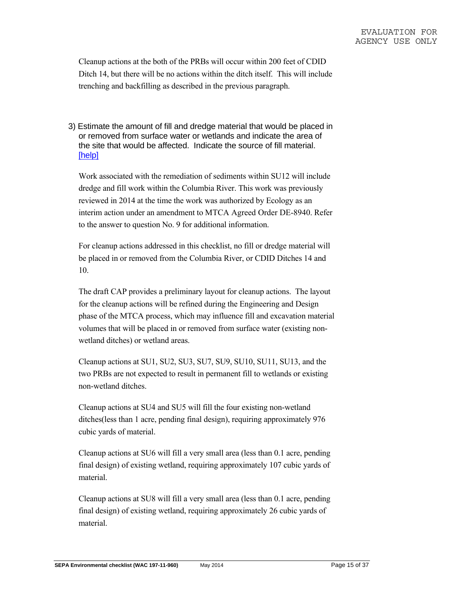Cleanup actions at the both of the PRBs will occur within 200 feet of CDID Ditch 14, but there will be no actions within the ditch itself. This will include trenching and backfilling as described in the previous paragraph.

3) Estimate the amount of fill and dredge material that would be placed in or removed from surface water or wetlands and indicate the area of the site that would be affected. Indicate the source of fill material. [help]

Work associated with the remediation of sediments within SU12 will include dredge and fill work within the Columbia River. This work was previously reviewed in 2014 at the time the work was authorized by Ecology as an interim action under an amendment to MTCA Agreed Order DE-8940. Refer to the answer to question No. 9 for additional information.

For cleanup actions addressed in this checklist, no fill or dredge material will be placed in or removed from the Columbia River, or CDID Ditches 14 and 10.

The draft CAP provides a preliminary layout for cleanup actions. The layout for the cleanup actions will be refined during the Engineering and Design phase of the MTCA process, which may influence fill and excavation material volumes that will be placed in or removed from surface water (existing nonwetland ditches) or wetland areas.

Cleanup actions at SU1, SU2, SU3, SU7, SU9, SU10, SU11, SU13, and the two PRBs are not expected to result in permanent fill to wetlands or existing non-wetland ditches.

Cleanup actions at SU4 and SU5 will fill the four existing non-wetland ditches(less than 1 acre, pending final design), requiring approximately 976 cubic yards of material.

Cleanup actions at SU6 will fill a very small area (less than 0.1 acre, pending final design) of existing wetland, requiring approximately 107 cubic yards of material.

Cleanup actions at SU8 will fill a very small area (less than 0.1 acre, pending final design) of existing wetland, requiring approximately 26 cubic yards of material.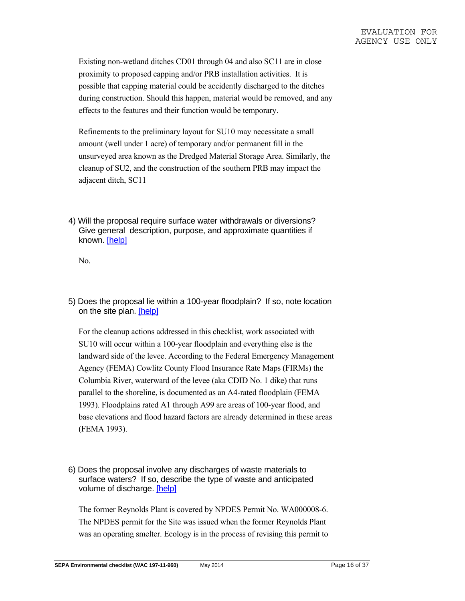Existing non-wetland ditches CD01 through 04 and also SC11 are in close proximity to proposed capping and/or PRB installation activities. It is possible that capping material could be accidently discharged to the ditches during construction. Should this happen, material would be removed, and any effects to the features and their function would be temporary.

Refinements to the preliminary layout for SU10 may necessitate a small amount (well under 1 acre) of temporary and/or permanent fill in the unsurveyed area known as the Dredged Material Storage Area. Similarly, the cleanup of SU2, and the construction of the southern PRB may impact the adjacent ditch, SC11

4) Will the proposal require surface water withdrawals or diversions? Give general description, purpose, and approximate quantities if known. [help]

No.

5) Does the proposal lie within a 100-year floodplain? If so, note location on the site plan. [help]

For the cleanup actions addressed in this checklist, work associated with SU10 will occur within a 100-year floodplain and everything else is the landward side of the levee. According to the Federal Emergency Management Agency (FEMA) Cowlitz County Flood Insurance Rate Maps (FIRMs) the Columbia River, waterward of the levee (aka CDID No. 1 dike) that runs parallel to the shoreline, is documented as an A4-rated floodplain (FEMA 1993). Floodplains rated A1 through A99 are areas of 100-year flood, and base elevations and flood hazard factors are already determined in these areas (FEMA 1993).

6) Does the proposal involve any discharges of waste materials to surface waters? If so, describe the type of waste and anticipated volume of discharge. [help]

The former Reynolds Plant is covered by NPDES Permit No. WA000008-6. The NPDES permit for the Site was issued when the former Reynolds Plant was an operating smelter. Ecology is in the process of revising this permit to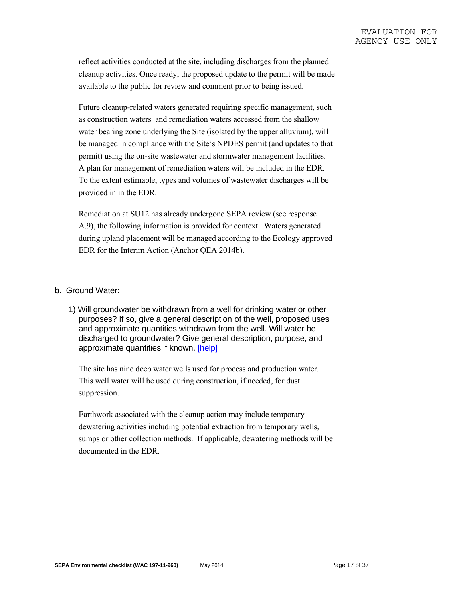reflect activities conducted at the site, including discharges from the planned cleanup activities. Once ready, the proposed update to the permit will be made available to the public for review and comment prior to being issued.

Future cleanup-related waters generated requiring specific management, such as construction waters and remediation waters accessed from the shallow water bearing zone underlying the Site (isolated by the upper alluvium), will be managed in compliance with the Site's NPDES permit (and updates to that permit) using the on-site wastewater and stormwater management facilities. A plan for management of remediation waters will be included in the EDR. To the extent estimable, types and volumes of wastewater discharges will be provided in in the EDR.

Remediation at SU12 has already undergone SEPA review (see response A.9), the following information is provided for context. Waters generated during upland placement will be managed according to the Ecology approved EDR for the Interim Action (Anchor QEA 2014b).

#### b. Ground Water:

1) Will groundwater be withdrawn from a well for drinking water or other purposes? If so, give a general description of the well, proposed uses and approximate quantities withdrawn from the well. Will water be discharged to groundwater? Give general description, purpose, and approximate quantities if known. [help]

The site has nine deep water wells used for process and production water. This well water will be used during construction, if needed, for dust suppression.

Earthwork associated with the cleanup action may include temporary dewatering activities including potential extraction from temporary wells, sumps or other collection methods. If applicable, dewatering methods will be documented in the EDR.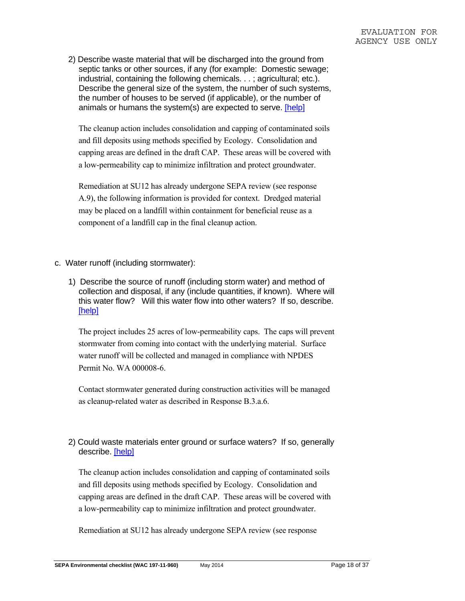2) Describe waste material that will be discharged into the ground from septic tanks or other sources, if any (for example: Domestic sewage; industrial, containing the following chemicals. . . ; agricultural; etc.). Describe the general size of the system, the number of such systems, the number of houses to be served (if applicable), or the number of animals or humans the system(s) are expected to serve. [help]

The cleanup action includes consolidation and capping of contaminated soils and fill deposits using methods specified by Ecology. Consolidation and capping areas are defined in the draft CAP. These areas will be covered with a low-permeability cap to minimize infiltration and protect groundwater.

Remediation at SU12 has already undergone SEPA review (see response A.9), the following information is provided for context. Dredged material may be placed on a landfill within containment for beneficial reuse as a component of a landfill cap in the final cleanup action.

- c. Water runoff (including stormwater):
	- 1) Describe the source of runoff (including storm water) and method of collection and disposal, if any (include quantities, if known). Where will this water flow? Will this water flow into other waters? If so, describe. [help]

The project includes 25 acres of low-permeability caps. The caps will prevent stormwater from coming into contact with the underlying material. Surface water runoff will be collected and managed in compliance with NPDES Permit No. WA 000008-6.

Contact stormwater generated during construction activities will be managed as cleanup-related water as described in Response B.3.a.6.

## 2) Could waste materials enter ground or surface waters? If so, generally describe. [help]

The cleanup action includes consolidation and capping of contaminated soils and fill deposits using methods specified by Ecology. Consolidation and capping areas are defined in the draft CAP. These areas will be covered with a low-permeability cap to minimize infiltration and protect groundwater.

Remediation at SU12 has already undergone SEPA review (see response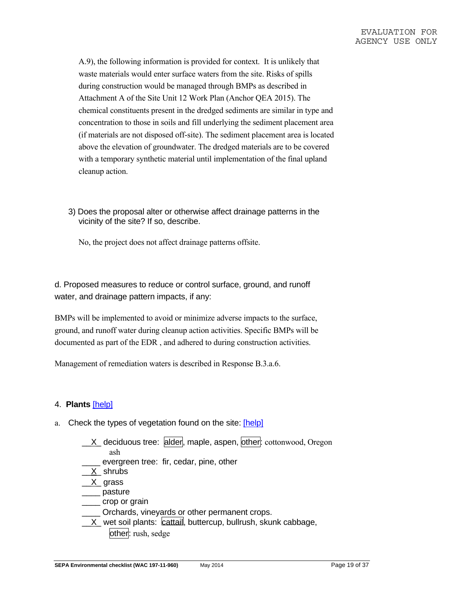A.9), the following information is provided for context. It is unlikely that waste materials would enter surface waters from the site. Risks of spills during construction would be managed through BMPs as described in Attachment A of the Site Unit 12 Work Plan (Anchor QEA 2015). The chemical constituents present in the dredged sediments are similar in type and concentration to those in soils and fill underlying the sediment placement area (if materials are not disposed off-site). The sediment placement area is located above the elevation of groundwater. The dredged materials are to be covered with a temporary synthetic material until implementation of the final upland cleanup action.

3) Does the proposal alter or otherwise affect drainage patterns in the vicinity of the site? If so, describe.

No, the project does not affect drainage patterns offsite.

d. Proposed measures to reduce or control surface, ground, and runoff water, and drainage pattern impacts, if any:

BMPs will be implemented to avoid or minimize adverse impacts to the surface, ground, and runoff water during cleanup action activities. Specific BMPs will be documented as part of the EDR , and adhered to during construction activities.

Management of remediation waters is described in Response B.3.a.6.

### 4. **Plants** [help]

- a. Check the types of vegetation found on the site: [help]
	- $X$  deciduous tree: alder, maple, aspen, other: cottonwood, Oregon ash
		- evergreen tree: fir, cedar, pine, other
	- X\_shrubs
	- \_\_X\_ grass
	- \_\_\_\_ pasture
	- \_\_\_\_ crop or grain
	- \_\_\_\_ Orchards, vineyards or other permanent crops.
	- $\_X$  wet soil plants: cattail, buttercup, bullrush, skunk cabbage, other: rush, sedge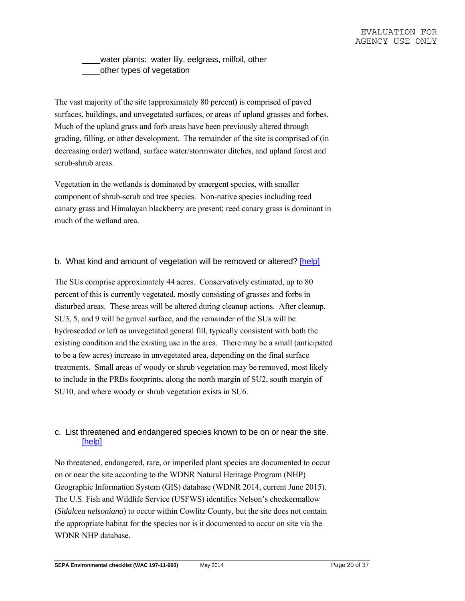\_\_\_\_water plants: water lily, eelgrass, milfoil, other \_\_\_\_other types of vegetation

The vast majority of the site (approximately 80 percent) is comprised of paved surfaces, buildings, and unvegetated surfaces, or areas of upland grasses and forbes. Much of the upland grass and forb areas have been previously altered through grading, filling, or other development. The remainder of the site is comprised of (in decreasing order) wetland, surface water/stormwater ditches, and upland forest and scrub-shrub areas.

Vegetation in the wetlands is dominated by emergent species, with smaller component of shrub-scrub and tree species. Non-native species including reed canary grass and Himalayan blackberry are present; reed canary grass is dominant in much of the wetland area.

#### b. What kind and amount of vegetation will be removed or altered? [help]

The SUs comprise approximately 44 acres. Conservatively estimated, up to 80 percent of this is currently vegetated, mostly consisting of grasses and forbs in disturbed areas. These areas will be altered during cleanup actions. After cleanup, SU3, 5, and 9 will be gravel surface, and the remainder of the SUs will be hydroseeded or left as unvegetated general fill, typically consistent with both the existing condition and the existing use in the area. There may be a small (anticipated to be a few acres) increase in unvegetated area, depending on the final surface treatments. Small areas of woody or shrub vegetation may be removed, most likely to include in the PRBs footprints, along the north margin of SU2, south margin of SU10, and where woody or shrub vegetation exists in SU6.

### c. List threatened and endangered species known to be on or near the site. [help]

No threatened, endangered, rare, or imperiled plant species are documented to occur on or near the site according to the WDNR Natural Heritage Program (NHP) Geographic Information System (GIS) database (WDNR 2014, current June 2015). The U.S. Fish and Wildlife Service (USFWS) identifies Nelson's checkermallow (*Sidalcea nelsoniana*) to occur within Cowlitz County, but the site does not contain the appropriate habitat for the species nor is it documented to occur on site via the WDNR NHP database.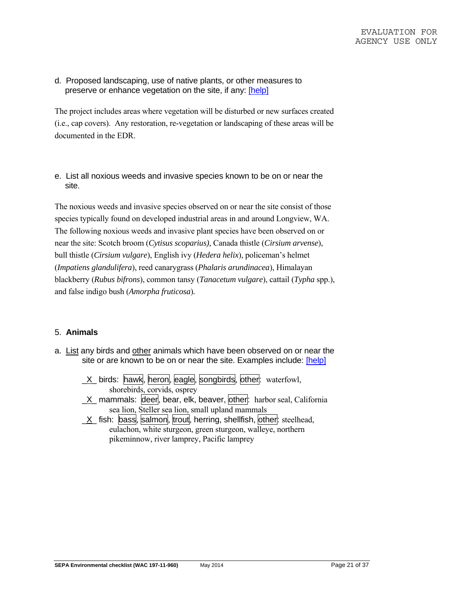d. Proposed landscaping, use of native plants, or other measures to preserve or enhance vegetation on the site, if any: [help]

The project includes areas where vegetation will be disturbed or new surfaces created (i.e., cap covers). Any restoration, re-vegetation or landscaping of these areas will be documented in the EDR.

e. List all noxious weeds and invasive species known to be on or near the site.

The noxious weeds and invasive species observed on or near the site consist of those species typically found on developed industrial areas in and around Longview, WA. The following noxious weeds and invasive plant species have been observed on or near the site: Scotch broom (*Cytisus scoparius),* Canada thistle (*Cirsium arvense*), bull thistle (*Cirsium vulgare*), English ivy (*Hedera helix*), policeman's helmet (*Impatiens glandulifera*), reed canarygrass (*Phalaris arundinacea*), Himalayan blackberry (*Rubus bifrons*), common tansy (*Tanacetum vulgare*), cattail (*Typha* spp.), and false indigo bush (*Amorpha fruticosa*)*.*

### 5. **Animals**

- a. List any birds and other animals which have been observed on or near the site or are known to be on or near the site. Examples include: [help]
	- $X$  birds: hawk, heron, eagle, songbirds, other: waterfowl, shorebirds, corvids, osprey
	- $X$  mammals: deer, bear, elk, beaver, other: harbor seal, California sea lion, Steller sea lion, small upland mammals
	- $X$  fish: bass, salmon, trout, herring, shellfish, other: steelhead, eulachon, white sturgeon, green sturgeon, walleye, northern pikeminnow, river lamprey, Pacific lamprey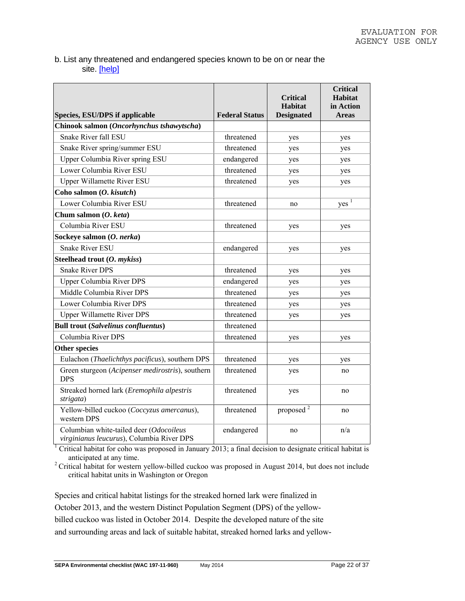#### b. List any threatened and endangered species known to be on or near the site. [help]

| Species, ESU/DPS if applicable                                                       | <b>Federal Status</b> | <b>Critical</b><br><b>Habitat</b><br><b>Designated</b> | <b>Critical</b><br>Habitat<br>in Action<br><b>Areas</b> |
|--------------------------------------------------------------------------------------|-----------------------|--------------------------------------------------------|---------------------------------------------------------|
| Chinook salmon (Oncorhynchus tshawytscha)                                            |                       |                                                        |                                                         |
| Snake River fall ESU                                                                 | threatened            | yes                                                    | yes                                                     |
| Snake River spring/summer ESU                                                        | threatened            | yes                                                    | yes                                                     |
| Upper Columbia River spring ESU                                                      | endangered            | yes                                                    | yes                                                     |
| Lower Columbia River ESU                                                             | threatened            | yes                                                    | yes                                                     |
| <b>Upper Willamette River ESU</b>                                                    | threatened            | yes                                                    | yes                                                     |
| Coho salmon (O. kisutch)                                                             |                       |                                                        |                                                         |
| Lower Columbia River ESU                                                             | threatened            | no                                                     | yes <sup>1</sup>                                        |
| Chum salmon (O. keta)                                                                |                       |                                                        |                                                         |
| Columbia River ESU                                                                   | threatened            | yes                                                    | yes                                                     |
| Sockeye salmon (O. nerka)                                                            |                       |                                                        |                                                         |
| <b>Snake River ESU</b>                                                               | endangered            | yes                                                    | yes                                                     |
| Steelhead trout (O. mykiss)                                                          |                       |                                                        |                                                         |
| <b>Snake River DPS</b>                                                               | threatened            | yes                                                    | yes                                                     |
| Upper Columbia River DPS                                                             | endangered            | yes                                                    | yes                                                     |
| Middle Columbia River DPS                                                            | threatened            | yes                                                    | yes                                                     |
| Lower Columbia River DPS                                                             | threatened            | yes                                                    | yes                                                     |
| <b>Upper Willamette River DPS</b>                                                    | threatened            | yes                                                    | yes                                                     |
| <b>Bull trout (Salvelinus confluentus)</b>                                           | threatened            |                                                        |                                                         |
| Columbia River DPS                                                                   | threatened            | yes                                                    | yes                                                     |
| <b>Other species</b>                                                                 |                       |                                                        |                                                         |
| Eulachon (Thaelichthys pacificus), southern DPS                                      | threatened            | yes                                                    | yes                                                     |
| Green sturgeon (Acipenser medirostris), southern<br><b>DPS</b>                       | threatened            | yes                                                    | no                                                      |
| Streaked horned lark (Eremophila alpestris<br>strigata)                              | threatened            | yes                                                    | no                                                      |
| Yellow-billed cuckoo (Coccyzus amercanus),<br>western DPS                            | threatened            | proposed <sup>2</sup>                                  | no                                                      |
| Columbian white-tailed deer (Odocoileus<br>virginianus leucurus), Columbia River DPS | endangered            | no                                                     | n/a                                                     |

<sup>1</sup> Critical habitat for coho was proposed in January 2013; a final decision to designate critical habitat is

anticipated at any time. 2 Critical habitat for western yellow-billed cuckoo was proposed in August 2014, but does not include critical habitat units in Washington or Oregon

Species and critical habitat listings for the streaked horned lark were finalized in October 2013, and the western Distinct Population Segment (DPS) of the yellowbilled cuckoo was listed in October 2014. Despite the developed nature of the site and surrounding areas and lack of suitable habitat, streaked horned larks and yellow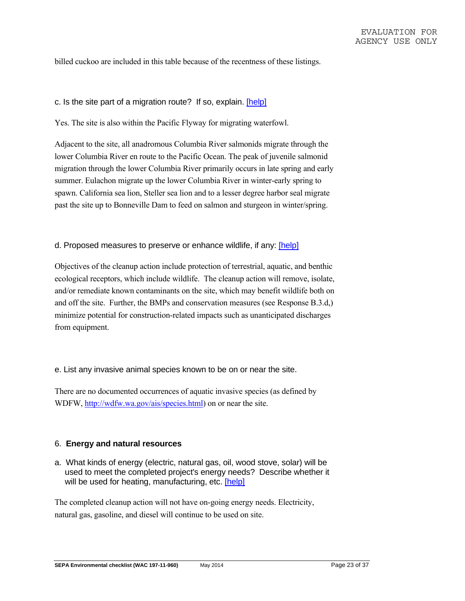billed cuckoo are included in this table because of the recentness of these listings.

#### c. Is the site part of a migration route? If so, explain. [help]

Yes. The site is also within the Pacific Flyway for migrating waterfowl.

Adjacent to the site, all anadromous Columbia River salmonids migrate through the lower Columbia River en route to the Pacific Ocean. The peak of juvenile salmonid migration through the lower Columbia River primarily occurs in late spring and early summer. Eulachon migrate up the lower Columbia River in winter-early spring to spawn. California sea lion, Steller sea lion and to a lesser degree harbor seal migrate past the site up to Bonneville Dam to feed on salmon and sturgeon in winter/spring.

#### d. Proposed measures to preserve or enhance wildlife, if any: [help]

Objectives of the cleanup action include protection of terrestrial, aquatic, and benthic ecological receptors, which include wildlife. The cleanup action will remove, isolate, and/or remediate known contaminants on the site, which may benefit wildlife both on and off the site. Further, the BMPs and conservation measures (see Response B.3.d,) minimize potential for construction-related impacts such as unanticipated discharges from equipment.

#### e. List any invasive animal species known to be on or near the site.

There are no documented occurrences of aquatic invasive species (as defined by WDFW, http://wdfw.wa.gov/ais/species.html) on or near the site.

#### 6. **Energy and natural resources**

a. What kinds of energy (electric, natural gas, oil, wood stove, solar) will be used to meet the completed project's energy needs? Describe whether it will be used for heating, manufacturing, etc. [help]

The completed cleanup action will not have on-going energy needs. Electricity, natural gas, gasoline, and diesel will continue to be used on site.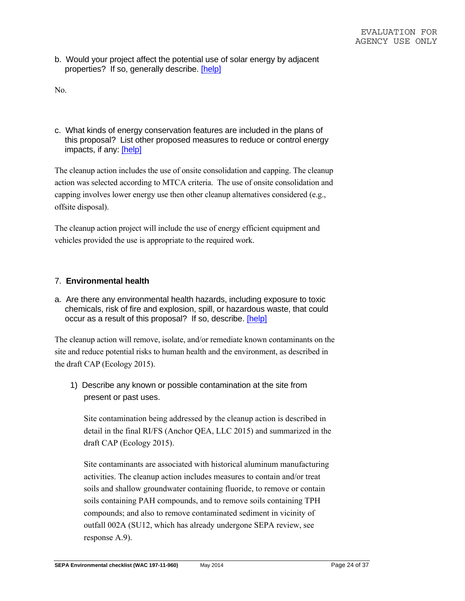b. Would your project affect the potential use of solar energy by adjacent properties? If so, generally describe. [help]

No.

c. What kinds of energy conservation features are included in the plans of this proposal? List other proposed measures to reduce or control energy impacts, if any: [help]

The cleanup action includes the use of onsite consolidation and capping. The cleanup action was selected according to MTCA criteria. The use of onsite consolidation and capping involves lower energy use then other cleanup alternatives considered (e.g., offsite disposal).

The cleanup action project will include the use of energy efficient equipment and vehicles provided the use is appropriate to the required work.

#### 7. **Environmental health**

a. Are there any environmental health hazards, including exposure to toxic chemicals, risk of fire and explosion, spill, or hazardous waste, that could occur as a result of this proposal? If so, describe. [help]

The cleanup action will remove, isolate, and/or remediate known contaminants on the site and reduce potential risks to human health and the environment, as described in the draft CAP (Ecology 2015).

1) Describe any known or possible contamination at the site from present or past uses.

Site contamination being addressed by the cleanup action is described in detail in the final RI/FS (Anchor QEA, LLC 2015) and summarized in the draft CAP (Ecology 2015).

Site contaminants are associated with historical aluminum manufacturing activities. The cleanup action includes measures to contain and/or treat soils and shallow groundwater containing fluoride, to remove or contain soils containing PAH compounds, and to remove soils containing TPH compounds; and also to remove contaminated sediment in vicinity of outfall 002A (SU12, which has already undergone SEPA review, see response A.9).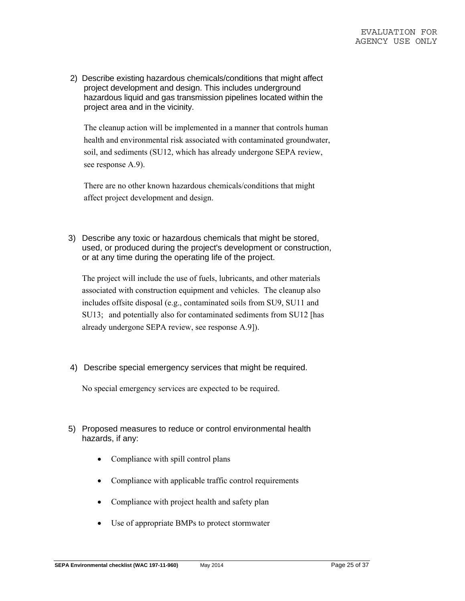2) Describe existing hazardous chemicals/conditions that might affect project development and design. This includes underground hazardous liquid and gas transmission pipelines located within the project area and in the vicinity.

The cleanup action will be implemented in a manner that controls human health and environmental risk associated with contaminated groundwater, soil, and sediments (SU12, which has already undergone SEPA review, see response A.9).

There are no other known hazardous chemicals/conditions that might affect project development and design.

3) Describe any toxic or hazardous chemicals that might be stored, used, or produced during the project's development or construction, or at any time during the operating life of the project.

The project will include the use of fuels, lubricants, and other materials associated with construction equipment and vehicles. The cleanup also includes offsite disposal (e.g., contaminated soils from SU9, SU11 and SU13; and potentially also for contaminated sediments from SU12 [has already undergone SEPA review, see response A.9]).

4) Describe special emergency services that might be required.

No special emergency services are expected to be required.

- 5) Proposed measures to reduce or control environmental health hazards, if any:
	- Compliance with spill control plans
	- Compliance with applicable traffic control requirements
	- Compliance with project health and safety plan
	- Use of appropriate BMPs to protect stormwater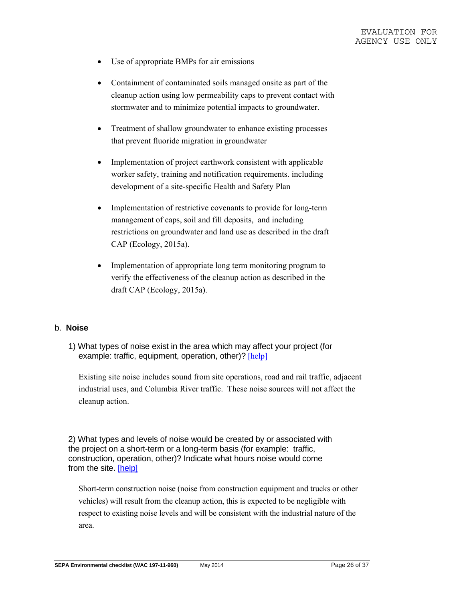- Use of appropriate BMPs for air emissions
- Containment of contaminated soils managed onsite as part of the cleanup action using low permeability caps to prevent contact with stormwater and to minimize potential impacts to groundwater.
- Treatment of shallow groundwater to enhance existing processes that prevent fluoride migration in groundwater
- Implementation of project earthwork consistent with applicable worker safety, training and notification requirements. including development of a site-specific Health and Safety Plan
- Implementation of restrictive covenants to provide for long-term management of caps, soil and fill deposits, and including restrictions on groundwater and land use as described in the draft CAP (Ecology, 2015a).
- Implementation of appropriate long term monitoring program to verify the effectiveness of the cleanup action as described in the draft CAP (Ecology, 2015a).

#### b. **Noise**

1) What types of noise exist in the area which may affect your project (for example: traffic, equipment, operation, other)? [help]

Existing site noise includes sound from site operations, road and rail traffic, adjacent industrial uses, and Columbia River traffic. These noise sources will not affect the cleanup action.

2) What types and levels of noise would be created by or associated with the project on a short-term or a long-term basis (for example: traffic, construction, operation, other)? Indicate what hours noise would come from the site. [help]

Short-term construction noise (noise from construction equipment and trucks or other vehicles) will result from the cleanup action, this is expected to be negligible with respect to existing noise levels and will be consistent with the industrial nature of the area.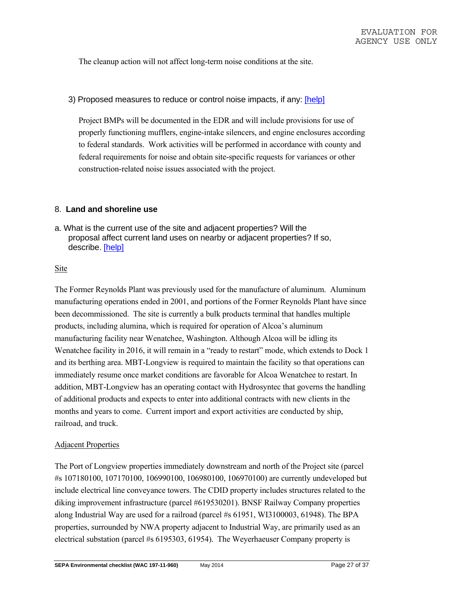The cleanup action will not affect long-term noise conditions at the site.

#### 3) Proposed measures to reduce or control noise impacts, if any: [help]

Project BMPs will be documented in the EDR and will include provisions for use of properly functioning mufflers, engine-intake silencers, and engine enclosures according to federal standards. Work activities will be performed in accordance with county and federal requirements for noise and obtain site-specific requests for variances or other construction-related noise issues associated with the project.

#### 8. **Land and shoreline use**

a. What is the current use of the site and adjacent properties? Will the proposal affect current land uses on nearby or adjacent properties? If so, describe. [help]

#### Site

The Former Reynolds Plant was previously used for the manufacture of aluminum. Aluminum manufacturing operations ended in 2001, and portions of the Former Reynolds Plant have since been decommissioned. The site is currently a bulk products terminal that handles multiple products, including alumina, which is required for operation of Alcoa's aluminum manufacturing facility near Wenatchee, Washington. Although Alcoa will be idling its Wenatchee facility in 2016, it will remain in a "ready to restart" mode, which extends to Dock 1 and its berthing area. MBT-Longview is required to maintain the facility so that operations can immediately resume once market conditions are favorable for Alcoa Wenatchee to restart. In addition, MBT-Longview has an operating contact with Hydrosyntec that governs the handling of additional products and expects to enter into additional contracts with new clients in the months and years to come. Current import and export activities are conducted by ship, railroad, and truck.

#### Adjacent Properties

The Port of Longview properties immediately downstream and north of the Project site (parcel #s 107180100, 107170100, 106990100, 106980100, 106970100) are currently undeveloped but include electrical line conveyance towers. The CDID property includes structures related to the diking improvement infrastructure (parcel #619530201). BNSF Railway Company properties along Industrial Way are used for a railroad (parcel #s 61951, WI3100003, 61948). The BPA properties, surrounded by NWA property adjacent to Industrial Way, are primarily used as an electrical substation (parcel #s 6195303, 61954). The Weyerhaeuser Company property is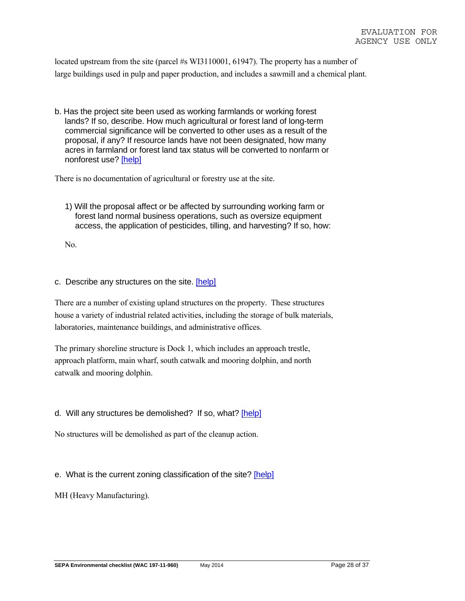located upstream from the site (parcel #s WI3110001, 61947). The property has a number of large buildings used in pulp and paper production, and includes a sawmill and a chemical plant.

b. Has the project site been used as working farmlands or working forest lands? If so, describe. How much agricultural or forest land of long-term commercial significance will be converted to other uses as a result of the proposal, if any? If resource lands have not been designated, how many acres in farmland or forest land tax status will be converted to nonfarm or nonforest use? [help]

There is no documentation of agricultural or forestry use at the site.

1) Will the proposal affect or be affected by surrounding working farm or forest land normal business operations, such as oversize equipment access, the application of pesticides, tilling, and harvesting? If so, how:

No.

#### c. Describe any structures on the site. [help]

There are a number of existing upland structures on the property. These structures house a variety of industrial related activities, including the storage of bulk materials, laboratories, maintenance buildings, and administrative offices.

The primary shoreline structure is Dock 1, which includes an approach trestle, approach platform, main wharf, south catwalk and mooring dolphin, and north catwalk and mooring dolphin.

#### d. Will any structures be demolished? If so, what? [help]

No structures will be demolished as part of the cleanup action.

#### e. What is the current zoning classification of the site? [help]

MH (Heavy Manufacturing).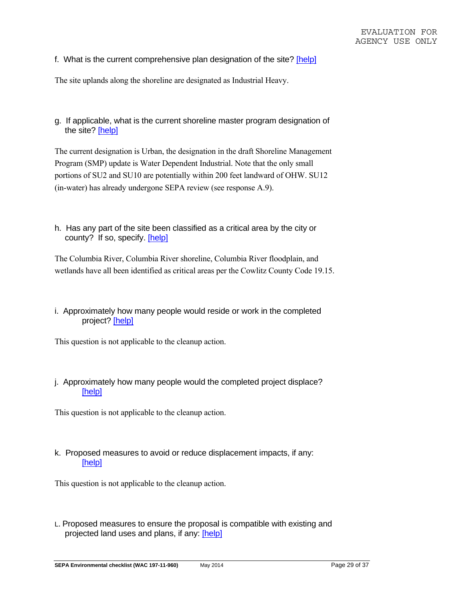f. What is the current comprehensive plan designation of the site? [help]

The site uplands along the shoreline are designated as Industrial Heavy.

g. If applicable, what is the current shoreline master program designation of the site? [help]

The current designation is Urban, the designation in the draft Shoreline Management Program (SMP) update is Water Dependent Industrial. Note that the only small portions of SU2 and SU10 are potentially within 200 feet landward of OHW. SU12 (in-water) has already undergone SEPA review (see response A.9).

h. Has any part of the site been classified as a critical area by the city or county? If so, specify. [help]

The Columbia River, Columbia River shoreline, Columbia River floodplain, and wetlands have all been identified as critical areas per the Cowlitz County Code 19.15.

i. Approximately how many people would reside or work in the completed project? [help]

This question is not applicable to the cleanup action.

j. Approximately how many people would the completed project displace? [help]

This question is not applicable to the cleanup action.

k. Proposed measures to avoid or reduce displacement impacts, if any: [help]

This question is not applicable to the cleanup action.

L. Proposed measures to ensure the proposal is compatible with existing and projected land uses and plans, if any: [help]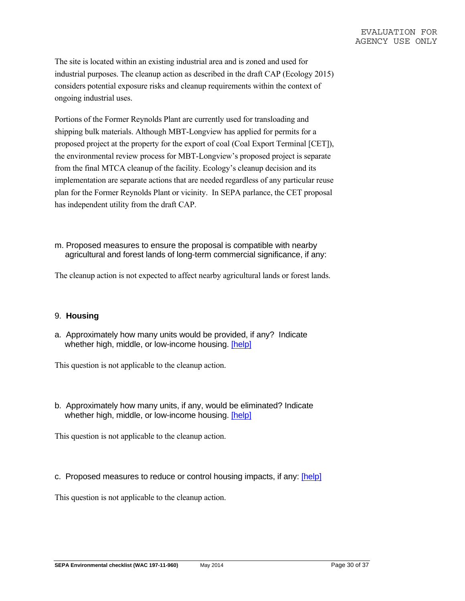The site is located within an existing industrial area and is zoned and used for industrial purposes. The cleanup action as described in the draft CAP (Ecology 2015) considers potential exposure risks and cleanup requirements within the context of ongoing industrial uses.

Portions of the Former Reynolds Plant are currently used for transloading and shipping bulk materials. Although MBT-Longview has applied for permits for a proposed project at the property for the export of coal (Coal Export Terminal [CET]), the environmental review process for MBT-Longview's proposed project is separate from the final MTCA cleanup of the facility. Ecology's cleanup decision and its implementation are separate actions that are needed regardless of any particular reuse plan for the Former Reynolds Plant or vicinity. In SEPA parlance, the CET proposal has independent utility from the draft CAP.

m. Proposed measures to ensure the proposal is compatible with nearby agricultural and forest lands of long-term commercial significance, if any:

The cleanup action is not expected to affect nearby agricultural lands or forest lands.

### 9. **Housing**

a. Approximately how many units would be provided, if any? Indicate whether high, middle, or low-income housing. [help]

This question is not applicable to the cleanup action.

b. Approximately how many units, if any, would be eliminated? Indicate whether high, middle, or low-income housing. [help]

This question is not applicable to the cleanup action.

c. Proposed measures to reduce or control housing impacts, if any: [help]

This question is not applicable to the cleanup action.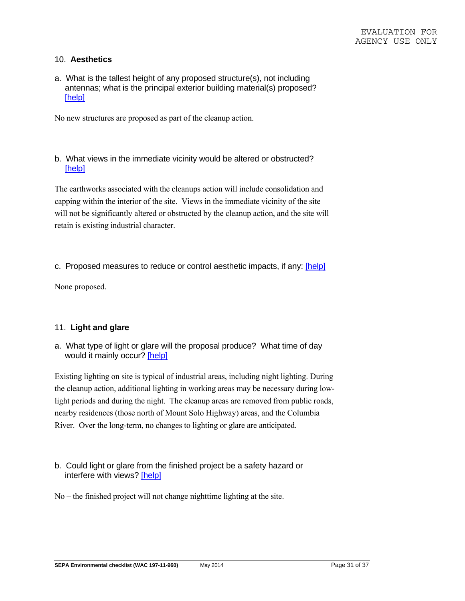### 10. **Aesthetics**

a. What is the tallest height of any proposed structure(s), not including antennas; what is the principal exterior building material(s) proposed? [help]

No new structures are proposed as part of the cleanup action.

b. What views in the immediate vicinity would be altered or obstructed? [help]

The earthworks associated with the cleanups action will include consolidation and capping within the interior of the site. Views in the immediate vicinity of the site will not be significantly altered or obstructed by the cleanup action, and the site will retain is existing industrial character.

#### c. Proposed measures to reduce or control aesthetic impacts, if any: [help]

None proposed.

#### 11. **Light and glare**

a. What type of light or glare will the proposal produce? What time of day would it mainly occur? [help]

Existing lighting on site is typical of industrial areas, including night lighting. During the cleanup action, additional lighting in working areas may be necessary during lowlight periods and during the night. The cleanup areas are removed from public roads, nearby residences (those north of Mount Solo Highway) areas, and the Columbia River. Over the long-term, no changes to lighting or glare are anticipated.

b. Could light or glare from the finished project be a safety hazard or interfere with views? [help]

No – the finished project will not change nighttime lighting at the site.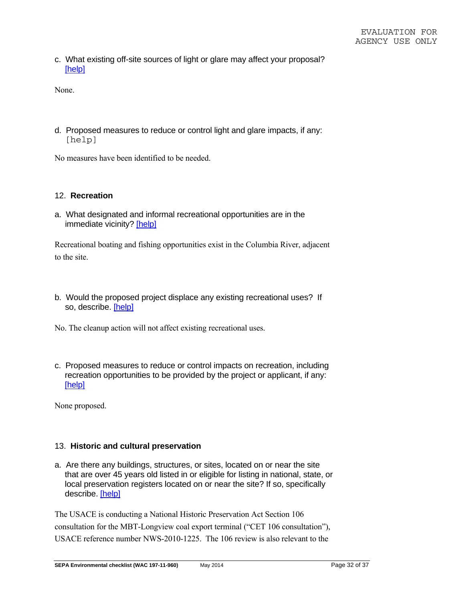c. What existing off-site sources of light or glare may affect your proposal? [help]

None.

d. Proposed measures to reduce or control light and glare impacts, if any: [help]

No measures have been identified to be needed.

#### 12. **Recreation**

a. What designated and informal recreational opportunities are in the immediate vicinity? [help]

Recreational boating and fishing opportunities exist in the Columbia River, adjacent to the site.

b. Would the proposed project displace any existing recreational uses? If so, describe. [help]

No. The cleanup action will not affect existing recreational uses.

c. Proposed measures to reduce or control impacts on recreation, including recreation opportunities to be provided by the project or applicant, if any: [help]

None proposed.

#### 13. **Historic and cultural preservation**

a. Are there any buildings, structures, or sites, located on or near the site that are over 45 years old listed in or eligible for listing in national, state, or local preservation registers located on or near the site? If so, specifically describe. [help]

The USACE is conducting a National Historic Preservation Act Section 106 consultation for the MBT-Longview coal export terminal ("CET 106 consultation"), USACE reference number NWS-2010-1225. The 106 review is also relevant to the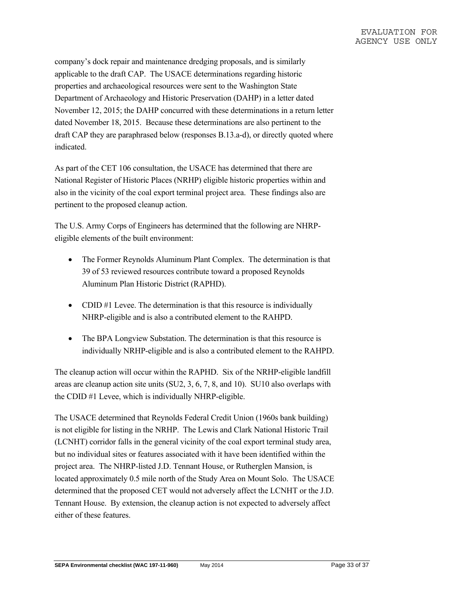company's dock repair and maintenance dredging proposals, and is similarly applicable to the draft CAP. The USACE determinations regarding historic properties and archaeological resources were sent to the Washington State Department of Archaeology and Historic Preservation (DAHP) in a letter dated November 12, 2015; the DAHP concurred with these determinations in a return letter dated November 18, 2015. Because these determinations are also pertinent to the draft CAP they are paraphrased below (responses B.13.a-d), or directly quoted where indicated.

As part of the CET 106 consultation, the USACE has determined that there are National Register of Historic Places (NRHP) eligible historic properties within and also in the vicinity of the coal export terminal project area. These findings also are pertinent to the proposed cleanup action.

The U.S. Army Corps of Engineers has determined that the following are NHRPeligible elements of the built environment:

- The Former Reynolds Aluminum Plant Complex. The determination is that 39 of 53 reviewed resources contribute toward a proposed Reynolds Aluminum Plan Historic District (RAPHD).
- CDID #1 Levee. The determination is that this resource is individually NHRP-eligible and is also a contributed element to the RAHPD.
- The BPA Longview Substation. The determination is that this resource is individually NRHP-eligible and is also a contributed element to the RAHPD.

The cleanup action will occur within the RAPHD. Six of the NRHP-eligible landfill areas are cleanup action site units (SU2, 3, 6, 7, 8, and 10). SU10 also overlaps with the CDID #1 Levee, which is individually NHRP-eligible.

The USACE determined that Reynolds Federal Credit Union (1960s bank building) is not eligible for listing in the NRHP. The Lewis and Clark National Historic Trail (LCNHT) corridor falls in the general vicinity of the coal export terminal study area, but no individual sites or features associated with it have been identified within the project area. The NHRP-listed J.D. Tennant House, or Rutherglen Mansion, is located approximately 0.5 mile north of the Study Area on Mount Solo. The USACE determined that the proposed CET would not adversely affect the LCNHT or the J.D. Tennant House. By extension, the cleanup action is not expected to adversely affect either of these features.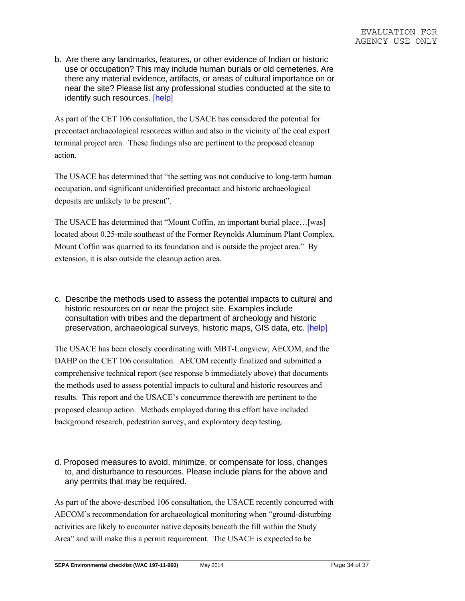b. Are there any landmarks, features, or other evidence of Indian or historic use or occupation? This may include human burials or old cemeteries. Are there any material evidence, artifacts, or areas of cultural importance on or near the site? Please list any professional studies conducted at the site to identify such resources. [help]

As part of the CET 106 consultation, the USACE has considered the potential for precontact archaeological resources within and also in the vicinity of the coal export terminal project area. These findings also are pertinent to the proposed cleanup action.

The USACE has determined that "the setting was not conducive to long-term human occupation, and significant unidentified precontact and historic archaeological deposits are unlikely to be present".

The USACE has determined that "Mount Coffin, an important burial place…[was] located about 0.25-mile southeast of the Former Reynolds Aluminum Plant Complex. Mount Coffin was quarried to its foundation and is outside the project area." By extension, it is also outside the cleanup action area.

c. Describe the methods used to assess the potential impacts to cultural and historic resources on or near the project site. Examples include consultation with tribes and the department of archeology and historic preservation, archaeological surveys, historic maps, GIS data, etc. [help]

The USACE has been closely coordinating with MBT-Longview, AECOM, and the DAHP on the CET 106 consultation. AECOM recently finalized and submitted a comprehensive technical report (see response b immediately above) that documents the methods used to assess potential impacts to cultural and historic resources and results. This report and the USACE's concurrence therewith are pertinent to the proposed cleanup action. Methods employed during this effort have included background research, pedestrian survey, and exploratory deep testing.

d. Proposed measures to avoid, minimize, or compensate for loss, changes to, and disturbance to resources. Please include plans for the above and any permits that may be required.

As part of the above-described 106 consultation, the USACE recently concurred with AECOM's recommendation for archaeological monitoring when "ground-disturbing activities are likely to encounter native deposits beneath the fill within the Study Area" and will make this a permit requirement. The USACE is expected to be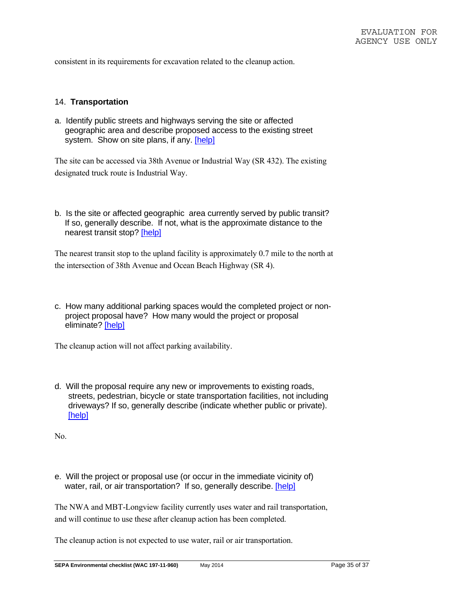consistent in its requirements for excavation related to the cleanup action.

#### 14. **Transportation**

a. Identify public streets and highways serving the site or affected geographic area and describe proposed access to the existing street system. Show on site plans, if any. [help]

The site can be accessed via 38th Avenue or Industrial Way (SR 432). The existing designated truck route is Industrial Way.

b. Is the site or affected geographic area currently served by public transit? If so, generally describe. If not, what is the approximate distance to the nearest transit stop? [help]

The nearest transit stop to the upland facility is approximately 0.7 mile to the north at the intersection of 38th Avenue and Ocean Beach Highway (SR 4).

c. How many additional parking spaces would the completed project or nonproject proposal have? How many would the project or proposal eliminate? [help]

The cleanup action will not affect parking availability.

d. Will the proposal require any new or improvements to existing roads, streets, pedestrian, bicycle or state transportation facilities, not including driveways? If so, generally describe (indicate whether public or private). [help]

No.

e. Will the project or proposal use (or occur in the immediate vicinity of) water, rail, or air transportation? If so, generally describe. [help]

The NWA and MBT-Longview facility currently uses water and rail transportation, and will continue to use these after cleanup action has been completed.

The cleanup action is not expected to use water, rail or air transportation.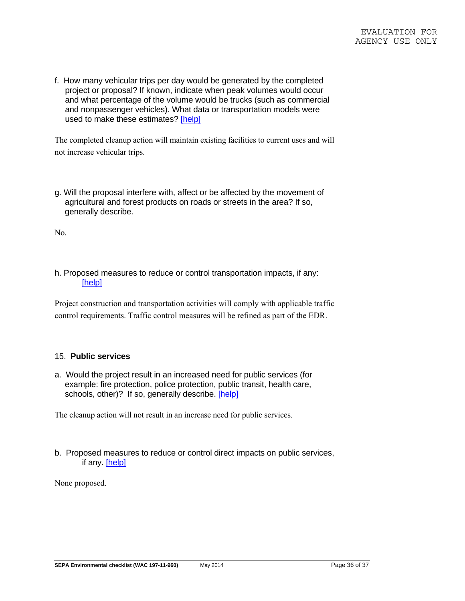f. How many vehicular trips per day would be generated by the completed project or proposal? If known, indicate when peak volumes would occur and what percentage of the volume would be trucks (such as commercial and nonpassenger vehicles). What data or transportation models were used to make these estimates? [help]

The completed cleanup action will maintain existing facilities to current uses and will not increase vehicular trips.

g. Will the proposal interfere with, affect or be affected by the movement of agricultural and forest products on roads or streets in the area? If so, generally describe.

No.

h. Proposed measures to reduce or control transportation impacts, if any: [help]

Project construction and transportation activities will comply with applicable traffic control requirements. Traffic control measures will be refined as part of the EDR.

#### 15. **Public services**

a. Would the project result in an increased need for public services (for example: fire protection, police protection, public transit, health care, schools, other)? If so, generally describe. [help]

The cleanup action will not result in an increase need for public services.

b. Proposed measures to reduce or control direct impacts on public services, if any. [help]

None proposed.